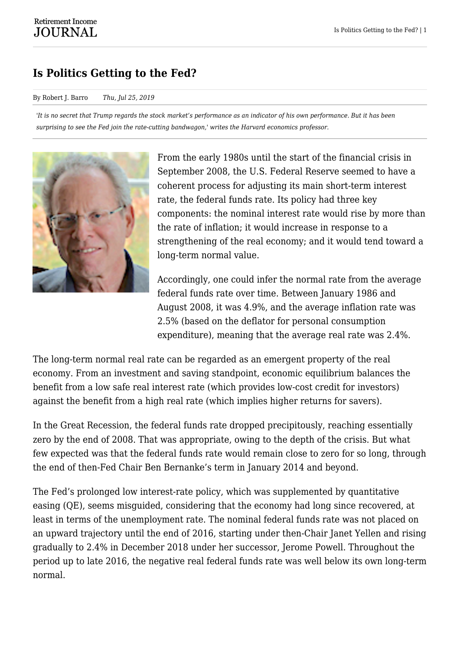## **Is Politics Getting to the Fed?**

## By Robert J. Barro *Thu, Jul 25, 2019*

*'It is no secret that Trump regards the stock market's performance as an indicator of his own performance. But it has been surprising to see the Fed join the rate-cutting bandwagon,' writes the Harvard economics professor.*



From the early 1980s until the start of the financial crisis in September 2008, the U.S. Federal Reserve seemed to have a coherent process for adjusting its main short-term interest rate, the federal funds rate. Its policy had three key components: the nominal interest rate would rise by more than the rate of inflation; it would increase in response to a strengthening of the real economy; and it would tend toward a long-term normal value.

Accordingly, one could infer the normal rate from the average federal funds rate over time. Between January 1986 and August 2008, it was 4.9%, and the average inflation rate was 2.5% (based on the deflator for personal consumption expenditure), meaning that the average real rate was 2.4%.

The long-term normal real rate can be regarded as an emergent property of the real economy. From an investment and saving standpoint, economic equilibrium balances the benefit from a low safe real interest rate (which provides low-cost credit for investors) against the benefit from a high real rate (which implies higher returns for savers).

In the Great Recession, the federal funds rate dropped precipitously, reaching essentially zero by the end of 2008. That was appropriate, owing to the depth of the crisis. But what few expected was that the federal funds rate would remain close to zero for so long, through the end of then-Fed Chair Ben Bernanke's term in January 2014 and beyond.

The Fed's prolonged low interest-rate policy, which was supplemented by quantitative easing (QE), seems misguided, considering that the economy had long since recovered, at least in terms of the unemployment rate. The nominal federal funds rate was not placed on an upward trajectory until the end of 2016, starting under then-Chair Janet Yellen and rising gradually to 2.4% in December 2018 under her successor, Jerome Powell. Throughout the period up to late 2016, the negative real federal funds rate was well below its own long-term normal.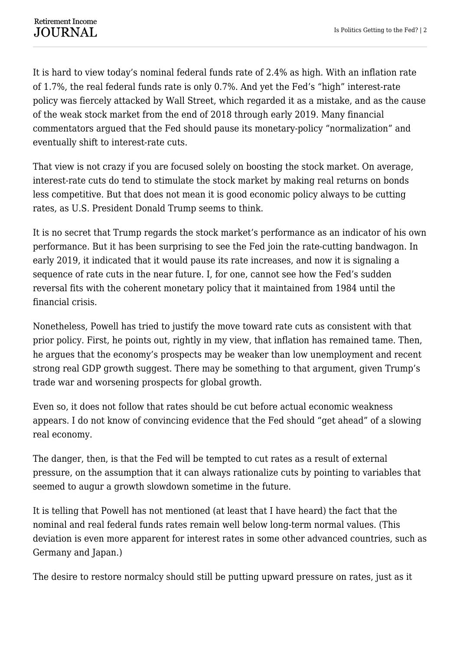It is hard to view today's nominal federal funds rate of 2.4% as high. With an inflation rate of 1.7%, the real federal funds rate is only 0.7%. And yet the Fed's "high" interest-rate policy was fiercely attacked by Wall Street, which regarded it as a mistake, and as the cause of the weak stock market from the end of 2018 through early 2019. Many financial commentators argued that the Fed should pause its monetary-policy "normalization" and eventually shift to interest-rate cuts.

That view is not crazy if you are focused solely on boosting the stock market. On average, interest-rate cuts do tend to stimulate the stock market by making real returns on bonds less competitive. But that does not mean it is good economic policy always to be cutting rates, as U.S. President Donald Trump seems to think.

It is no secret that Trump regards the stock market's performance as an indicator of his own performance. But it has been surprising to see the Fed join the rate-cutting bandwagon. In early 2019, it indicated that it would pause its rate increases, and now it is signaling a sequence of rate cuts in the near future. I, for one, cannot see how the Fed's sudden reversal fits with the coherent monetary policy that it maintained from 1984 until the financial crisis.

Nonetheless, Powell has tried to justify the move toward rate cuts as consistent with that prior policy. First, he points out, rightly in my view, that inflation has remained tame. Then, he argues that the economy's prospects may be weaker than low unemployment and recent strong real GDP growth suggest. There may be something to that argument, given Trump's trade war and worsening prospects for global growth.

Even so, it does not follow that rates should be cut before actual economic weakness appears. I do not know of convincing evidence that the Fed should "get ahead" of a slowing real economy.

The danger, then, is that the Fed will be tempted to cut rates as a result of external pressure, on the assumption that it can always rationalize cuts by pointing to variables that seemed to augur a growth slowdown sometime in the future.

It is telling that Powell has not mentioned (at least that I have heard) the fact that the nominal and real federal funds rates remain well below long-term normal values. (This deviation is even more apparent for interest rates in some other advanced countries, such as Germany and Japan.)

The desire to restore normalcy should still be putting upward pressure on rates, just as it